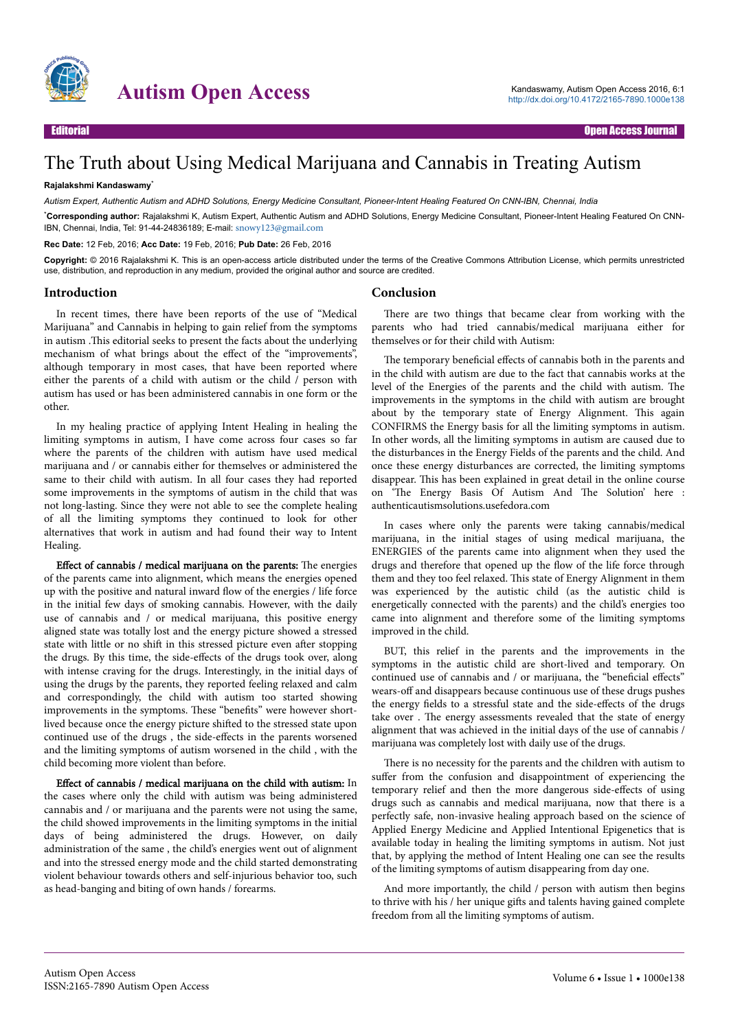

## Autism Open Access<br>
Autism Open Access 2016, 6:1<br>
Autism Open Access 2016, 6:1<br>
Nutric//dx.doi.org/10.4172/2165-7890.1000e138

## The Truth about Using Medical Marijuana and Cannabis in Treating Autism

## **Rajalakshmi Kandaswamy**\*

*Autism Expert, Authentic Autism and ADHD Solutions, Energy Medicine Consultant, Pioneer-Intent Healing Featured On CNN-IBN, Chennai, India*

\***Corresponding author:** Rajalakshmi K, Autism Expert, Authentic Autism and ADHD Solutions, Energy Medicine Consultant, Pioneer-Intent Healing Featured On CNN-IBN, Chennai, India, Tel: 91-44-24836189; E-mail: [snowy123@gmail.com](mailto:snowy123@gmail.com)

**Rec Date:** 12 Feb, 2016; **Acc Date:** 19 Feb, 2016; **Pub Date:** 26 Feb, 2016

**Copyright:** © 2016 Rajalakshmi K. This is an open-access article distributed under the terms of the Creative Commons Attribution License, which permits unrestricted use, distribution, and reproduction in any medium, provided the original author and source are credited.

**Conclusion**

## **Introduction**

In recent times, there have been reports of the use of "Medical Marijuana" and Cannabis in helping to gain relief from the symptoms in autism .Нis editorial seeks to present the facts about the underlying mechanism of what brings about the effect of the "improvements", although temporary in most cases, that have been reported where either the parents of a child with autism or the child / person with autism has used or has been administered cannabis in one form or the other.

In my healing practice of applying Intent Healing in healing the limiting symptoms in autism, I have come across four cases so far where the parents of the children with autism have used medical marijuana and / or cannabis either for themselves or administered the same to their child with autism. In all four cases they had reported some improvements in the symptoms of autism in the child that was not long-lasting. Since they were not able to see the complete healing of all the limiting symptoms they continued to look for other alternatives that work in autism and had found their way to Intent Healing.

Effect of cannabis / medical marijuana on the parents: The energies of the parents came into alignment, which means the energies opened up with the positive and natural inward flow of the energies / life force in the initial few days of smoking cannabis. However, with the daily use of cannabis and / or medical marijuana, this positive energy aligned state was totally lost and the energy picture showed a stressed state with little or no shift in this stressed picture even after stopping the drugs. By this time, the side-effects of the drugs took over, along with intense craving for the drugs. Interestingly, in the initial days of using the drugs by the parents, they reported feeling relaxed and calm and correspondingly, the child with autism too started showing improvements in the symptoms. Нese "benefits" were however shortlived because once the energy picture shifted to the stressed state upon continued use of the drugs, the side-effects in the parents worsened and the limiting symptoms of autism worsened in the child , with the child becoming more violent than before.

Effect of cannabis / medical marijuana on the child with autism: In the cases where only the child with autism was being administered cannabis and / or marijuana and the parents were not using the same, the child showed improvements in the limiting symptoms in the initial days of being administered the drugs. However, on daily administration of the same , the child's energies went out of alignment and into the stressed energy mode and the child started demonstrating violent behaviour towards others and self-injurious behavior too, such as head-banging and biting of own hands / forearms.

There are two things that became clear from working with the parents who had tried cannabis/medical marijuana either for themselves or for their child with Autism:

The temporary beneficial effects of cannabis both in the parents and in the child with autism are due to the fact that cannabis works at the level of the Energies of the parents and the child with autism. Нe improvements in the symptoms in the child with autism are brought about by the temporary state of Energy Alignment. Нis again CONFIRMS the Energy basis for all the limiting symptoms in autism. In other words, all the limiting symptoms in autism are caused due to the disturbances in the Energy Fields of the parents and the child. And once these energy disturbances are corrected, the limiting symptoms disappear. Нis has been explained in great detail in the online course on The Energy Basis Of Autism And The Solution' here : authenticautismsolutions.usefedora.com

In cases where only the parents were taking cannabis/medical marijuana, in the initial stages of using medical marijuana, the ENERGIES of the parents came into alignment when they used the drugs and therefore that opened up the flow of the life force through them and they too feel relaxed. Нis state of Energy Alignment in them was experienced by the autistic child (as the autistic child is energetically connected with the parents) and the child's energies too came into alignment and therefore some of the limiting symptoms improved in the child.

BUT, this relief in the parents and the improvements in the symptoms in the autistic child are short-lived and temporary. On continued use of cannabis and / or marijuana, the "beneficial effects" wears-off and disappears because continuous use of these drugs pushes the energy fields to a stressful state and the side-effects of the drugs take over . Нe energy assessments revealed that the state of energy alignment that was achieved in the initial days of the use of cannabis / marijuana was completely lost with daily use of the drugs.

There is no necessity for the parents and the children with autism to suffer from the confusion and disappointment of experiencing the temporary relief and then the more dangerous side-effects of using drugs such as cannabis and medical marijuana, now that there is a perfectly safe, non-invasive healing approach based on the science of Applied Energy Medicine and Applied Intentional Epigenetics that is available today in healing the limiting symptoms in autism. Not just that, by applying the method of Intent Healing one can see the results of the limiting symptoms of autism disappearing from day one.

And more importantly, the child / person with autism then begins to thrive with his / her unique gifts and talents having gained complete freedom from all the limiting symptoms of autism.